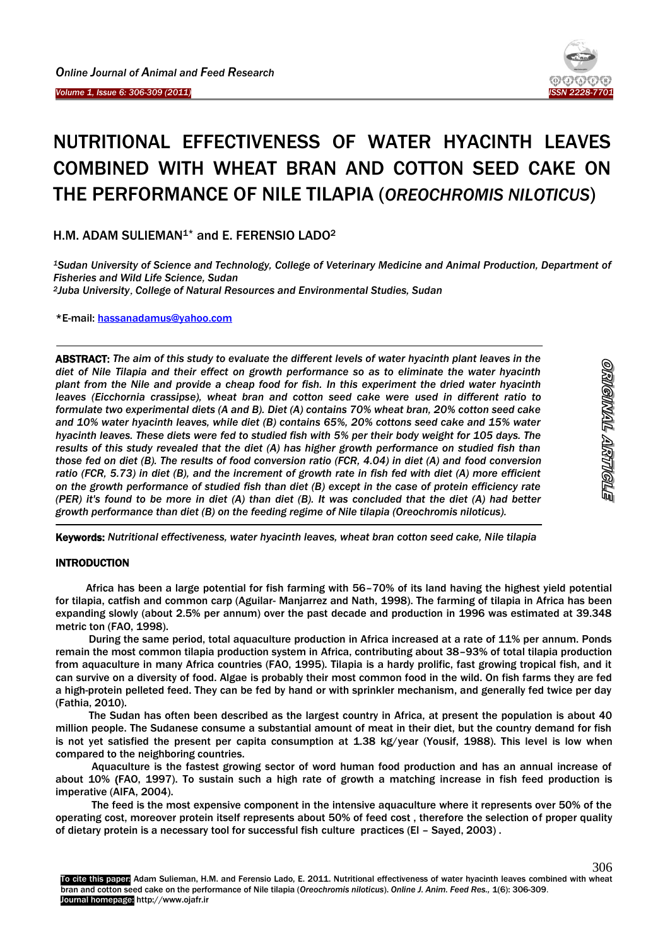Ï

**-**

-



# NUTRITIONAL EFFECTIVENESS OF WATER HYACINTH LEAVES COMBINED WITH WHEAT BRAN AND COTTON SEED CAKE ON THE PERFORMANCE OF NILE TILAPIA (*OREOCHROMIS NILOTICUS*)

H.M. ADAM SULIEMAN<sup>1\*</sup> and E. FERENSIO LADO<sup>2</sup>

*<sup>1</sup>Sudan University of Science and Technology, College of Veterinary Medicine and Animal Production, Department of Fisheries and Wild Life Science, Sudan <sup>2</sup>Juba University*, *College of Natural Resources and Environmental Studies, Sudan*

\*E-mail: [hassanadamus@yahoo.com](mailto:hassanadamus@yahoo.com)

ABSTRACT: *The aim of this study to evaluate the different levels of water hyacinth plant leaves in the diet of Nile Tilapia and their effect on growth performance so as to eliminate the water hyacinth plant from the Nile and provide a cheap food for fish. In this experiment the dried water hyacinth leaves (Eicchornia crassipse), wheat bran and cotton seed cake were used in different ratio to formulate two experimental diets (A and B). Diet (A) contains 70% wheat bran, 20% cotton seed cake and 10% water hyacinth leaves, while diet (B) contains 65%, 20% cottons seed cake and 15% water hyacinth leaves. These diets were fed to studied fish with 5% per their body weight for 105 days. The results of this study revealed that the diet (A) has higher growth performance on studied fish than those fed on diet (B). The results of food conversion ratio (FCR, 4.04) in diet (A) and food conversion ratio (FCR, 5.73) in diet (B), and the increment of growth rate in fish fed with diet (A) more efficient on the growth performance of studied fish than diet (B) except in the case of protein efficiency rate (PER) it's found to be more in diet (A) than diet (B). It was concluded that the diet (A) had better growth performance than diet (B) on the feeding regime of Nile tilapia (Oreochromis niloticus).*

Keywords: *Nutritional effectiveness, water hyacinth leaves, wheat bran cotton seed cake, Nile tilapia*

## INTRODUCTION

Africa has been a large potential for fish farming with 56–70% of its land having the highest yield potential for tilapia, catfish and common carp (Aguilar- Manjarrez and Nath, 1998). The farming of tilapia in Africa has been expanding slowly (about 2.5% per annum) over the past decade and production in 1996 was estimated at 39.348 metric ton (FAO, 1998).

During the same period, total aquaculture production in Africa increased at a rate of 11% per annum. Ponds remain the most common tilapia production system in Africa, contributing about 38–93% of total tilapia production from aquaculture in many Africa countries (FAO, 1995). Tilapia is a hardy prolific, fast growing tropical fish, and it can survive on a diversity of food. Algae is probably their most common food in the wild. On fish farms they are fed a high-protein pelleted feed. They can be fed by hand or with sprinkler mechanism, and generally fed twice per day (Fathia, 2010).

The Sudan has often been described as the largest country in Africa, at present the population is about 40 million people. The Sudanese consume a substantial amount of meat in their diet, but the country demand for fish is not yet satisfied the present per capita consumption at 1.38 kg/year (Yousif, 1988). This level is low when compared to the neighboring countries.

 Aquaculture is the fastest growing sector of word human food production and has an annual increase of about 10% (FAO, 1997). To sustain such a high rate of growth a matching increase in fish feed production is imperative (AIFA, 2004).

 The feed is the most expensive component in the intensive aquaculture where it represents over 50% of the operating cost, moreover protein itself represents about 50% of feed cost , therefore the selection of proper quality of dietary protein is a necessary tool for successful fish culture practices (El – Sayed, 2003) .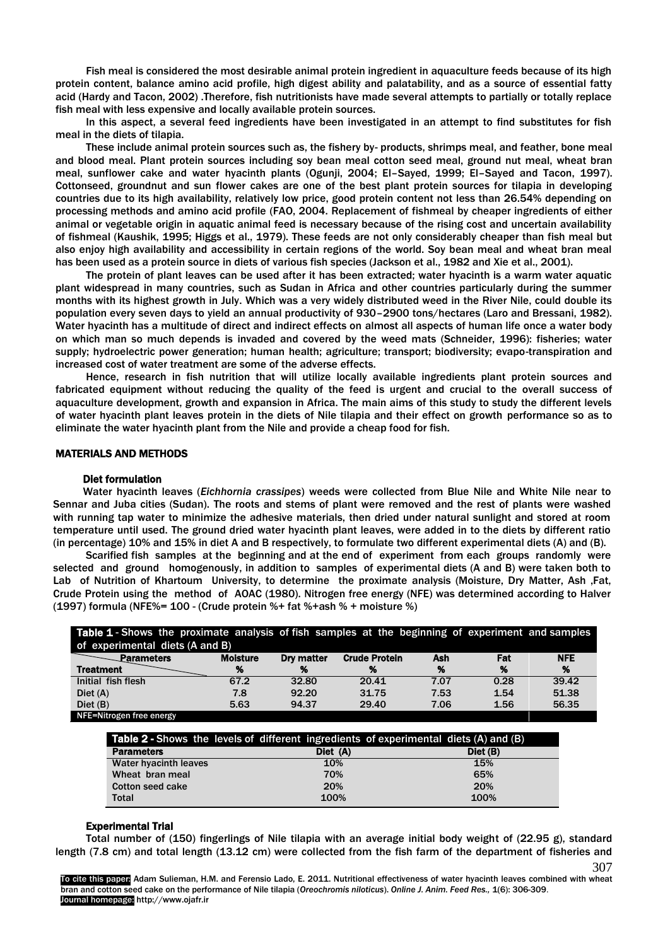Fish meal is considered the most desirable animal protein ingredient in aquaculture feeds because of its high protein content, balance amino acid profile, high digest ability and palatability, and as a source of essential fatty acid (Hardy and Tacon, 2002) .Therefore, fish nutritionists have made several attempts to partially or totally replace fish meal with less expensive and locally available protein sources.

In this aspect, a several feed ingredients have been investigated in an attempt to find substitutes for fish meal in the diets of tilapia.

These include animal protein sources such as, the fishery by- products, shrimps meal, and feather, bone meal and blood meal. Plant protein sources including soy bean meal cotton seed meal, ground nut meal, wheat bran meal, sunflower cake and water hyacinth plants (Ogunji, 2004; El–Sayed, 1999; El–Sayed and Tacon, 1997). Cottonseed, groundnut and sun flower cakes are one of the best plant protein sources for tilapia in developing countries due to its high availability, relatively low price, good protein content not less than 26.54% depending on processing methods and amino acid profile (FAO, 2004. Replacement of fishmeal by cheaper ingredients of either animal or vegetable origin in aquatic animal feed is necessary because of the rising cost and uncertain availability of fishmeal (Kaushik, 1995; Higgs et al., 1979). These feeds are not only considerably cheaper than fish meal but also enjoy high availability and accessibility in certain regions of the world. Soy bean meal and wheat bran meal has been used as a protein source in diets of various fish species (Jackson et al., 1982 and Xie et al., 2001).

The protein of plant leaves can be used after it has been extracted; water hyacinth is a warm water aquatic plant widespread in many countries, such as Sudan in Africa and other countries particularly during the summer months with its highest growth in July. Which was a very widely distributed weed in the River Nile, could double its population every seven days to yield an annual productivity of 930–2900 tons/hectares (Laro and Bressani, 1982). Water hyacinth has a multitude of direct and indirect effects on almost all aspects of human life once a water body on which man so much depends is invaded and covered by the weed mats (Schneider, 1996): fisheries; water supply; hydroelectric power generation; human health; agriculture; transport; biodiversity; evapo-transpiration and increased cost of water treatment are some of the adverse effects.

Hence, research in fish nutrition that will utilize locally available ingredients plant protein sources and fabricated equipment without reducing the quality of the feed is urgent and crucial to the overall success of aquaculture development, growth and expansion in Africa. The main aims of this study to study the different levels of water hyacinth plant leaves protein in the diets of Nile tilapia and their effect on growth performance so as to eliminate the water hyacinth plant from the Nile and provide a cheap food for fish.

#### MATERIALS AND METHODS

#### Diet formulation

Water hyacinth leaves (*Eichhornia crassipes*) weeds were collected from Blue Nile and White Nile near to Sennar and Juba cities (Sudan). The roots and stems of plant were removed and the rest of plants were washed with running tap water to minimize the adhesive materials, then dried under natural sunlight and stored at room temperature until used. The ground dried water hyacinth plant leaves, were added in to the diets by different ratio (in percentage) 10% and 15% in diet A and B respectively, to formulate two different experimental diets (A) and (B).

Scarified fish samples at the beginning and at the end of experiment from each groups randomly were selected and ground homogenously, in addition to samples of experimental diets (A and B) were taken both to Lab of Nutrition of Khartoum University, to determine the proximate analysis (Moisture, Dry Matter, Ash ,Fat, Crude Protein using the method of AOAC (1980). Nitrogen free energy (NFE) was determined according to Halver (1997) formula (NFE%= 100 - (Crude protein %+ fat %+ash % + moisture %)

| Table 1 - Shows the proximate analysis of fish samples at the beginning of experiment and samples |                 |            |                      |      |      |            |
|---------------------------------------------------------------------------------------------------|-----------------|------------|----------------------|------|------|------------|
| of experimental diets (A and B)                                                                   |                 |            |                      |      |      |            |
| Parameters                                                                                        | <b>Moisture</b> | Dry matter | <b>Crude Protein</b> | Ash  | Fat  | <b>NFE</b> |
| <b>Treatment</b>                                                                                  | %               | %          | %                    | %    | %    | %          |
| Initial fish flesh                                                                                | 67.2            | 32.80      | 20.41                | 7.07 | 0.28 | 39.42      |
| Diet(A)                                                                                           | 7.8             | 92.20      | 31.75                | 7.53 | 1.54 | 51.38      |
| Diet (B)                                                                                          | 5.63            | 94.37      | 29.40                | 7.06 | 1.56 | 56.35      |
| NFE=Nitrogen free energy                                                                          |                 |            |                      |      |      |            |

|                         | <b>Table 2 - Shows the levels of different ingredients of experimental diets (A) and (B)</b> |          |
|-------------------------|----------------------------------------------------------------------------------------------|----------|
| <b>Parameters</b>       | Diet (A)                                                                                     | Diet (B) |
| Water hyacinth leaves   | 10%                                                                                          | 15%      |
| Wheat bran meal         | 70%                                                                                          | 65%      |
| <b>Cotton seed cake</b> | 20%                                                                                          | 20%      |
| <b>Total</b>            | 100%                                                                                         | 100%     |

#### Experimental Trial

Total number of (150) fingerlings of Nile tilapia with an average initial body weight of (22.95 g), standard length (7.8 cm) and total length (13.12 cm) were collected from the fish farm of the department of fisheries and

To cite this paper: Adam Sulieman, H.M. and Ferensio Lado, E. 2011. Nutritional effectiveness of water hyacinth leaves combined with wheat bran and cotton seed cake on the performance of Nile tilapia (*Oreochromis niloticus*). *Online J. Anim. Feed Res.,* 1(6): 306-309. Journal homepage: http://www.ojafr.ir

307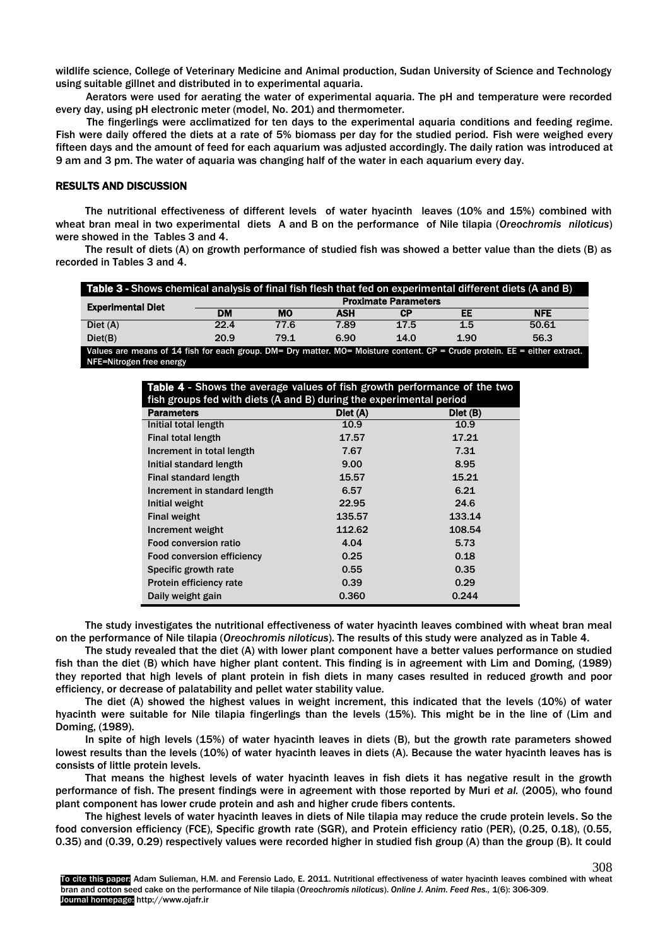wildlife science, College of Veterinary Medicine and Animal production, Sudan University of Science and Technology using suitable gillnet and distributed in to experimental aquaria.

Aerators were used for aerating the water of experimental aquaria. The pH and temperature were recorded every day, using pH electronic meter (model, No. 201) and thermometer.

The fingerlings were acclimatized for ten days to the experimental aquaria conditions and feeding regime. Fish were daily offered the diets at a rate of 5% biomass per day for the studied period. Fish were weighed every fifteen days and the amount of feed for each aquarium was adjusted accordingly. The daily ration was introduced at 9 am and 3 pm. The water of aquaria was changing half of the water in each aquarium every day.

### RESULTS AND DISCUSSION

The nutritional effectiveness of different levels of water hyacinth leaves (10% and 15%) combined with wheat bran meal in two experimental diets A and B on the performance of Nile tilapia (*Oreochromis niloticus*) were showed in the Tables 3 and 4.

The result of diets (A) on growth performance of studied fish was showed a better value than the diets (B) as recorded in Tables 3 and 4.

| Table 3 - Shows chemical analysis of final fish flesh that fed on experimental different diets (A and B)                        |           |                             |            |      |      |            |  |  |
|---------------------------------------------------------------------------------------------------------------------------------|-----------|-----------------------------|------------|------|------|------------|--|--|
| <b>Experimental Diet</b>                                                                                                        |           | <b>Proximate Parameters</b> |            |      |      |            |  |  |
|                                                                                                                                 | <b>DM</b> | мо                          | <b>ASH</b> | СP   | EE   | <b>NFE</b> |  |  |
| Diet(A)                                                                                                                         | 22.4      | 77.6                        | 7.89       | 17.5 | 1.5  | 50.61      |  |  |
| Diet(B)                                                                                                                         | 20.9      | 79.1                        | 6.90       | 14.0 | 1.90 | 56.3       |  |  |
| Values are means of 14 fish for each group $DM = Dw$ matter $MO = M$ oisture sontent $CD = Cru$ a protein $FE =$ either extract |           |                             |            |      |      |            |  |  |

Values are means of 14 fish for each group. DM= Dry matter. MO= Moisture content. CP = Crude protein. EE = either extract. NFE=Nitrogen free energy

| Table 4 - Shows the average values of fish growth performance of the two |          |          |  |  |
|--------------------------------------------------------------------------|----------|----------|--|--|
| fish groups fed with diets (A and B) during the experimental period      |          |          |  |  |
| <b>Parameters</b>                                                        | Diet (A) | Diet (B) |  |  |
| Initial total length                                                     | 10.9     | 10.9     |  |  |
| <b>Final total length</b>                                                | 17.57    | 17.21    |  |  |
| Increment in total length                                                | 7.67     | 7.31     |  |  |
| Initial standard length                                                  | 9.00     | 8.95     |  |  |
| <b>Final standard length</b>                                             | 15.57    | 15.21    |  |  |
| Increment in standard length                                             | 6.57     | 6.21     |  |  |
| Initial weight                                                           | 22.95    | 24.6     |  |  |
| <b>Final weight</b>                                                      | 135.57   | 133.14   |  |  |
| Increment weight                                                         | 112.62   | 108.54   |  |  |
| Food conversion ratio                                                    | 4.04     | 5.73     |  |  |
| <b>Food conversion efficiency</b>                                        | 0.25     | 0.18     |  |  |
| Specific growth rate                                                     | 0.55     | 0.35     |  |  |
| Protein efficiency rate                                                  | 0.39     | 0.29     |  |  |
| Daily weight gain                                                        | 0.360    | 0.244    |  |  |

The study investigates the nutritional effectiveness of water hyacinth leaves combined with wheat bran meal on the performance of Nile tilapia (*Oreochromis niloticus*). The results of this study were analyzed as in Table 4.

The study revealed that the diet (A) with lower plant component have a better values performance on studied fish than the diet (B) which have higher plant content. This finding is in agreement with Lim and Doming, (1989) they reported that high levels of plant protein in fish diets in many cases resulted in reduced growth and poor efficiency, or decrease of palatability and pellet water stability value.

The diet (A) showed the highest values in weight increment, this indicated that the levels (10%) of water hyacinth were suitable for Nile tilapia fingerlings than the levels (15%). This might be in the line of (Lim and Doming, (1989).

In spite of high levels (15%) of water hyacinth leaves in diets (B), but the growth rate parameters showed lowest results than the levels (10%) of water hyacinth leaves in diets (A). Because the water hyacinth leaves has is consists of little protein levels.

That means the highest levels of water hyacinth leaves in fish diets it has negative result in the growth performance of fish. The present findings were in agreement with those reported by Muri *et al.* (2005), who found plant component has lower crude protein and ash and higher crude fibers contents.

The highest levels of water hyacinth leaves in diets of Nile tilapia may reduce the crude protein levels. So the food conversion efficiency (FCE), Specific growth rate (SGR), and Protein efficiency ratio (PER), (0.25, 0.18), (0.55, 0.35) and (0.39, 0.29) respectively values were recorded higher in studied fish group (A) than the group (B). It could

308